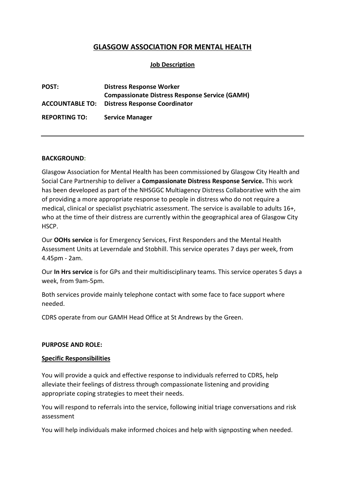# **GLASGOW ASSOCIATION FOR MENTAL HEALTH**

## **Job Description**

| <b>POST:</b>           | <b>Distress Response Worker</b>                       |
|------------------------|-------------------------------------------------------|
|                        | <b>Compassionate Distress Response Service (GAMH)</b> |
| <b>ACCOUNTABLE TO:</b> | <b>Distress Response Coordinator</b>                  |
| <b>REPORTING TO:</b>   | <b>Service Manager</b>                                |

#### **BACKGROUND:**

Glasgow Association for Mental Health has been commissioned by Glasgow City Health and Social Care Partnership to deliver a **Compassionate Distress Response Service.** This work has been developed as part of the NHSGGC Multiagency Distress Collaborative with the aim of providing a more appropriate response to people in distress who do not require a medical, clinical or specialist psychiatric assessment. The service is available to adults 16+, who at the time of their distress are currently within the geographical area of Glasgow City HSCP.

Our **OOHs service** is for Emergency Services, First Responders and the Mental Health Assessment Units at Leverndale and Stobhill. This service operates 7 days per week, from 4.45pm - 2am.

Our **In Hrs service** is for GPs and their multidisciplinary teams. This service operates 5 days a week, from 9am-5pm.

Both services provide mainly telephone contact with some face to face support where needed.

CDRS operate from our GAMH Head Office at St Andrews by the Green.

#### **PURPOSE AND ROLE:**

#### **Specific Responsibilities**

You will provide a quick and effective response to individuals referred to CDRS, help alleviate their feelings of distress through compassionate listening and providing appropriate coping strategies to meet their needs.

You will respond to referrals into the service, following initial triage conversations and risk assessment

You will help individuals make informed choices and help with signposting when needed.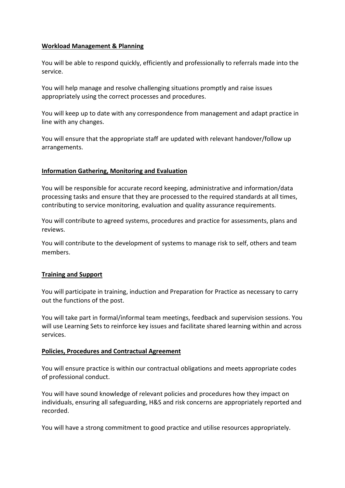### **Workload Management & Planning**

You will be able to respond quickly, efficiently and professionally to referrals made into the service.

You will help manage and resolve challenging situations promptly and raise issues appropriately using the correct processes and procedures.

You will keep up to date with any correspondence from management and adapt practice in line with any changes.

You will ensure that the appropriate staff are updated with relevant handover/follow up arrangements.

## **Information Gathering, Monitoring and Evaluation**

You will be responsible for accurate record keeping, administrative and information/data processing tasks and ensure that they are processed to the required standards at all times, contributing to service monitoring, evaluation and quality assurance requirements.

You will contribute to agreed systems, procedures and practice for assessments, plans and reviews.

You will contribute to the development of systems to manage risk to self, others and team members.

### **Training and Support**

You will participate in training, induction and Preparation for Practice as necessary to carry out the functions of the post.

You will take part in formal/informal team meetings, feedback and supervision sessions. You will use Learning Sets to reinforce key issues and facilitate shared learning within and across services.

### **Policies, Procedures and Contractual Agreement**

You will ensure practice is within our contractual obligations and meets appropriate codes of professional conduct.

You will have sound knowledge of relevant policies and procedures how they impact on individuals, ensuring all safeguarding, H&S and risk concerns are appropriately reported and recorded.

You will have a strong commitment to good practice and utilise resources appropriately.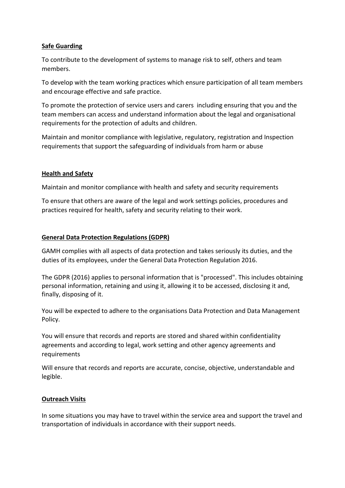## **Safe Guarding**

To contribute to the development of systems to manage risk to self, others and team members.

To develop with the team working practices which ensure participation of all team members and encourage effective and safe practice.

To promote the protection of service users and carers including ensuring that you and the team members can access and understand information about the legal and organisational requirements for the protection of adults and children.

Maintain and monitor compliance with legislative, regulatory, registration and Inspection requirements that support the safeguarding of individuals from harm or abuse

### **Health and Safety**

Maintain and monitor compliance with health and safety and security requirements

To ensure that others are aware of the legal and work settings policies, procedures and practices required for health, safety and security relating to their work.

### **General Data Protection Regulations (GDPR)**

GAMH complies with all aspects of data protection and takes seriously its duties, and the duties of its employees, under the General Data Protection Regulation 2016.

The GDPR (2016) applies to personal information that is "processed". This includes obtaining personal information, retaining and using it, allowing it to be accessed, disclosing it and, finally, disposing of it.

You will be expected to adhere to the organisations Data Protection and Data Management Policy.

You will ensure that records and reports are stored and shared within confidentiality agreements and according to legal, work setting and other agency agreements and requirements

Will ensure that records and reports are accurate, concise, objective, understandable and legible.

## **Outreach Visits**

In some situations you may have to travel within the service area and support the travel and transportation of individuals in accordance with their support needs.